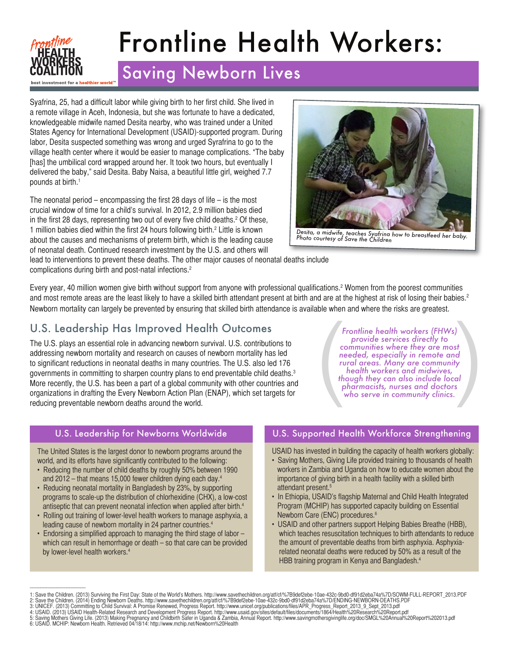

# Frontline Health Workers:

# Saving Newborn Lives

Syafrina, 25, had a difficult labor while giving birth to her first child. She lived in a remote village in Aceh, Indonesia, but she was fortunate to have a dedicated, knowledgeable midwife named Desita nearby, who was trained under a United States Agency for International Development (USAID)-supported program. During labor, Desita suspected something was wrong and urged Syrafrina to go to the village health center where it would be easier to manage complications. "The baby [has] the umbilical cord wrapped around her. It took two hours, but eventually I delivered the baby," said Desita. Baby Naisa, a beautiful little girl, weighed 7.7 pounds at birth.1

The neonatal period – encompassing the first 28 days of life – is the most crucial window of time for a child's survival. In 2012, 2.9 million babies died in the first 28 days, representing two out of every five child deaths.2 Of these, 1 1 million babies died within the first 24 hours following birth.<sup>2</sup> Little is known about the causes and mechanisms of preterm birth, which is the leading cause of neonatal death. Continued research investment by the U.S. and others will



*Desita, a midwife, teaches Syafrina how to breastfeed her baby. Photo courtesy of Save the Children*

lead to interventions to prevent these deaths. The other major causes of neonatal deaths include complications during birth and post-natal infections.2

Every year, 40 million women give birth without support from anyone with professional qualifications.2 Women from the poorest communities and most remote areas are the least likely to have a skilled birth attendant present at birth and are at the highest at risk of losing their babies.<sup>2</sup> Newborn mortality can largely be prevented by ensuring that skilled birth attendance is available when and where the risks are greatest.

# U.S. Leadership Has Improved Health Outcomes

The U.S. plays an essential role in advancing newborn survival. U.S. contributions to addressing newborn mortality and research on causes of newborn mortality has led to significant reductions in neonatal deaths in many countries. The U.S. also led 176 governments in committing to sharpen country plans to end preventable child deaths.<sup>3</sup> More recently, the U.S. has been a part of a global community with other countries and organizations in drafting the Every Newborn Action Plan (ENAP), which set targets for reducing preventable newborn deaths around the world.

Frontline health workers (FHWs)<br>provide services directly to<br>communities where they are most<br>needed, especially in remote and<br>rural areas. Many are community<br>health workers and midwives,<br>though they can also include local<br> *provide services directly to communities where they are most needed, especially in remote and rural areas. Many are community health workers and midwives, though they can also include local pharmacists, nurses and doctors who serve in community clinics.*

#### U.S. Leadership for Newborns Worldwide

The United States is the largest donor to newborn programs around the world, and its efforts have significantly contributed to the following:

- Reducing the number of child deaths by roughly 50% between 1990 and 2012 – that means 15,000 fewer children dying each day.4
- Reducing neonatal mortality in Bangladesh by 23%, by supporting programs to scale-up the distribution of chlorhexidine (CHX), a low-cost antiseptic that can prevent neonatal infection when applied after birth.<sup>4</sup>
- Rolling out training of lower-level health workers to manage asphyxia, a leading cause of newborn mortality in 24 partner countries.<sup>4</sup>
- Endorsing a simplified approach to managing the third stage of labor which can result in hemorrhage or death – so that care can be provided by lower-level health workers.<sup>4</sup>

\_\_\_\_\_\_\_\_\_\_\_\_\_\_\_\_\_\_\_\_\_

#### U.S. Supported Health Workforce Strengthening

USAID has invested in building the capacity of health workers globally:

- Saving Mothers, Giving Life provided training to thousands of health workers in Zambia and Uganda on how to educate women about the importance of giving birth in a health facility with a skilled birth attendant present.<sup>5</sup>
- In Ethiopia, USAID's flagship Maternal and Child Health Integrated Program (MCHIP) has supported capacity building on Essential Newborn Care (ENC) procedures.6
- USAID and other partners support Helping Babies Breathe (HBB), which teaches resuscitation techniques to birth attendants to reduce the amount of preventable deaths from birth asphyxia. Asphyxia related neonatal deaths were reduced by 50% as a result of the HBB training program in Kenya and Bangladesh.4

<sup>1:</sup> Save the Children. (2013) Surviving the First Day: State of the World's Mothers. http://www.savethechildren.org/att/cf/%7B9def2ebe-10ae-432c-9bd0-df91d2eba74a%7D/SOWM-FULL-REPORT\_2013.PDF<br>2: Save the Children. (2014) En